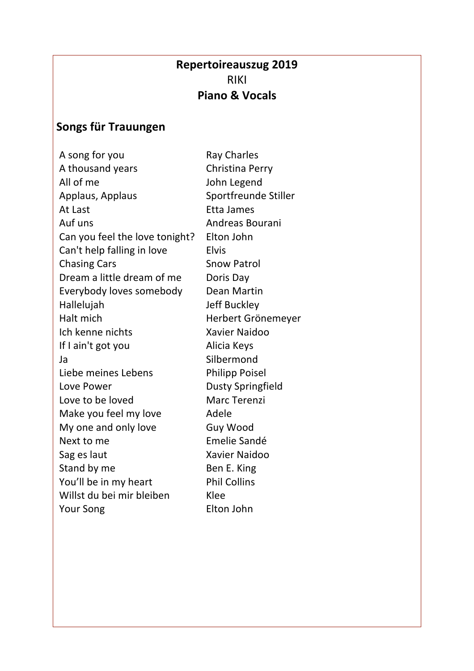## **Repertoireauszug 2019** RIKI **Piano & Vocals**

## **Songs für Trauungen**

A song for you Ray Charles A thousand years Christina Perry All of me John Legend Applaus, Applaus Sportfreunde Stiller At Last Etta James Auf uns **Andreas Bourani** Can you feel the love tonight? Elton John Can't help falling in love Elvis Chasing Cars Snow Patrol Dream a little dream of me Doris Day Everybody loves somebody Dean Martin Hallelujah Jeff Buckley Halt mich Herbert Grönemeyer Ich kenne nichts Xavier Naidoo If I ain't got you alicia Keys Ja Silbermond Liebe meines Lebens Philipp Poisel Love Power Dusty Springfield Love to be loved Marc Terenzi Make you feel my love and Adele My one and only love Guy Wood Next to me **Emelie Sandé** Sag es laut Xavier Naidoo Stand by me Ben E. King You'll be in my heart Phil Collins Willst du bei mir bleiben Klee Your Song Elton John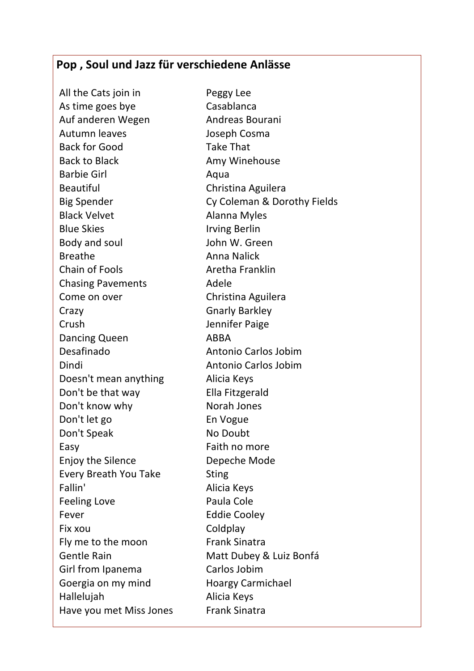## **Pop , Soul und Jazz für verschiedene Anlässe**

All the Cats join in Peggy Lee As time goes bye Casablanca Auf anderen Wegen Andreas Bourani Autumn leaves Joseph Cosma Back for Good Take That Back to Black **Amy Winehouse** Barbie Girl **Aqua** Beautiful Christina Aguilera Black Velvet **Alanna Myles** Blue Skies **Irving Berlin** Body and soul **South Body and south Albem** John W. Green Breathe **Anna Nalick** Chain of Fools **Aretha Franklin** Chasing Pavements Adele Come on over Christina Aguilera Crazy Gnarly Barkley Crush Jennifer Paige Dancing Queen ABBA Desafinado Antonio Carlos Jobim Dindi Antonio Carlos Jobim Doesn't mean anything **Alicia Keys** Don't be that way Ella Fitzgerald Don't know why Norah Jones Don't let go En Vogue Don't Speak No Doubt Easy Faith no more Enjoy the Silence Depeche Mode Every Breath You Take Sting Fallin' Alicia Keys Feeling Love **Paula Cole** Fever **Eddie Cooley** Fix xou Coldplay Fly me to the moon Frank Sinatra Gentle Rain Matt Dubey & Luiz Bonfá Girl from Ipanema<br>
Carlos Jobim Goergia on my mind Hoargy Carmichael Hallelujah Alicia Keys Have you met Miss Jones Frank Sinatra

Big Spender **Cy Coleman & Dorothy Fields**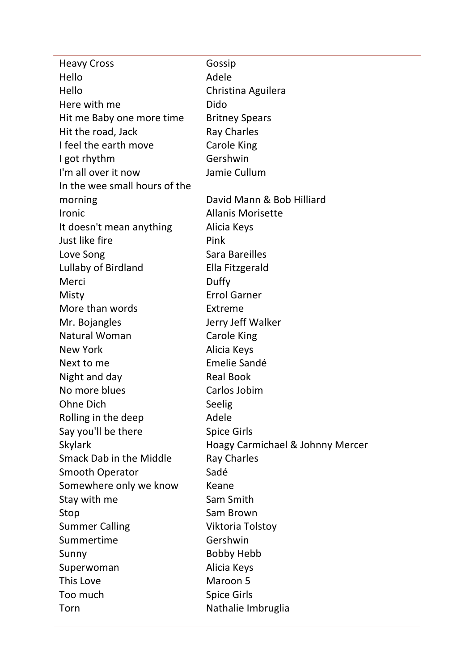| <b>Heavy Cross</b>            | Gossip                           |
|-------------------------------|----------------------------------|
| Hello                         | Adele                            |
| Hello                         | Christina Aguilera               |
| Here with me                  | Dido                             |
| Hit me Baby one more time     | <b>Britney Spears</b>            |
| Hit the road, Jack            | <b>Ray Charles</b>               |
| I feel the earth move         | <b>Carole King</b>               |
| I got rhythm                  | Gershwin                         |
| I'm all over it now           | Jamie Cullum                     |
| In the wee small hours of the |                                  |
| morning                       | David Mann & Bob Hilliard        |
| <b>Ironic</b>                 | <b>Allanis Morisette</b>         |
| It doesn't mean anything      | Alicia Keys                      |
| Just like fire                | Pink                             |
| Love Song                     | Sara Bareilles                   |
| Lullaby of Birdland           | Ella Fitzgerald                  |
| Merci                         | Duffy                            |
| Misty                         | <b>Errol Garner</b>              |
| More than words               | Extreme                          |
| Mr. Bojangles                 | Jerry Jeff Walker                |
| <b>Natural Woman</b>          | <b>Carole King</b>               |
| New York                      | Alicia Keys                      |
| Next to me                    | Emelie Sandé                     |
| Night and day                 | <b>Real Book</b>                 |
| No more blues                 | Carlos Jobim                     |
| <b>Ohne Dich</b>              | Seelig                           |
| Rolling in the deep           | Adele                            |
| Say you'll be there           | <b>Spice Girls</b>               |
| <b>Skylark</b>                | Hoagy Carmichael & Johnny Mercer |
| Smack Dab in the Middle       | <b>Ray Charles</b>               |
| <b>Smooth Operator</b>        | Sadé                             |
| Somewhere only we know        | Keane                            |
| Stay with me                  | Sam Smith                        |
| Stop                          | Sam Brown                        |
| <b>Summer Calling</b>         | Viktoria Tolstoy                 |
| Summertime                    | Gershwin                         |
| Sunny                         | <b>Bobby Hebb</b>                |
| Superwoman                    | Alicia Keys                      |
| This Love                     | Maroon 5                         |
| Too much                      | <b>Spice Girls</b>               |
| Torn                          | Nathalie Imbruglia               |